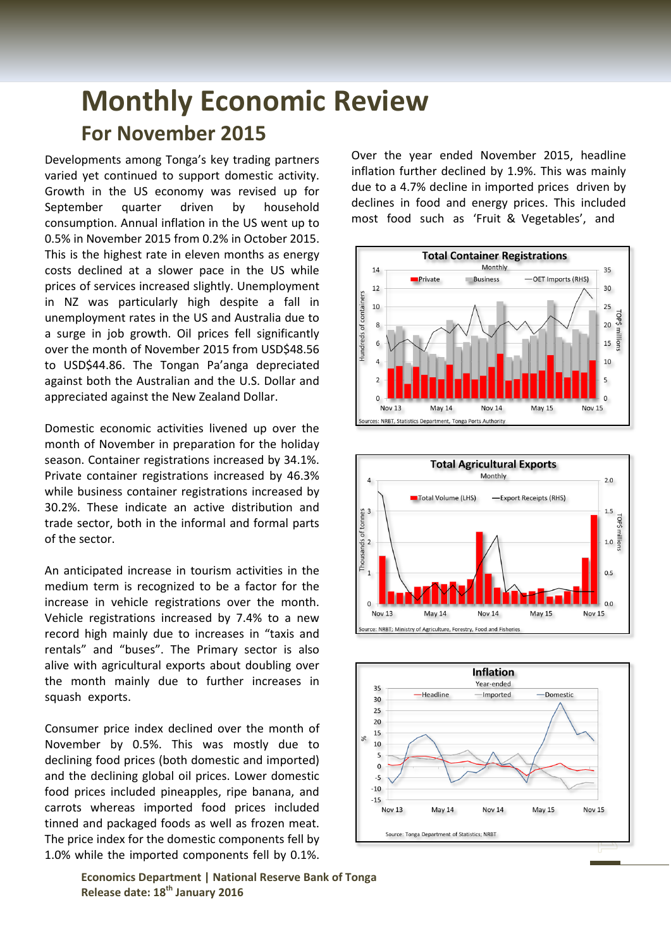## **Monthly Economic Review For November 2015**

Developments among Tonga's key trading partners varied yet continued to support domestic activity. Growth in the US economy was revised up for September quarter driven by household consumption. Annual inflation in the US went up to 0.5% in November 2015 from 0.2% in October 2015. This is the highest rate in eleven months as energy costs declined at a slower pace in the US while prices of services increased slightly. Unemployment in NZ was particularly high despite a fall in unemployment rates in the US and Australia due to a surge in job growth. Oil prices fell significantly over the month of November 2015 from USD\$48.56 to USD\$44.86. The Tongan Pa'anga depreciated against both the Australian and the U.S. Dollar and appreciated against the New Zealand Dollar.

Domestic economic activities livened up over the month of November in preparation for the holiday season. Container registrations increased by 34.1%. Private container registrations increased by 46.3% while business container registrations increased by 30.2%. These indicate an active distribution and trade sector, both in the informal and formal parts of the sector.

An anticipated increase in tourism activities in the medium term is recognized to be a factor for the increase in vehicle registrations over the month. Vehicle registrations increased by 7.4% to a new record high mainly due to increases in "taxis and rentals" and "buses". The Primary sector is also alive with agricultural exports about doubling over the month mainly due to further increases in squash exports.

Consumer price index declined over the month of November by 0.5%. This was mostly due to declining food prices (both domestic and imported) and the declining global oil prices. Lower domestic food prices included pineapples, ripe banana, and carrots whereas imported food prices included tinned and packaged foods as well as frozen meat. The price index for the domestic components fell by 1.0% while the imported components fell by 0.1%.

> **Economics Department | National Reserve Bank of Tonga Release date: 18th January 2016**

Over the year ended November 2015, headline inflation further declined by 1.9%. This was mainly due to a 4.7% decline in imported prices driven by declines in food and energy prices. This included most food such as 'Fruit & Vegetables', and





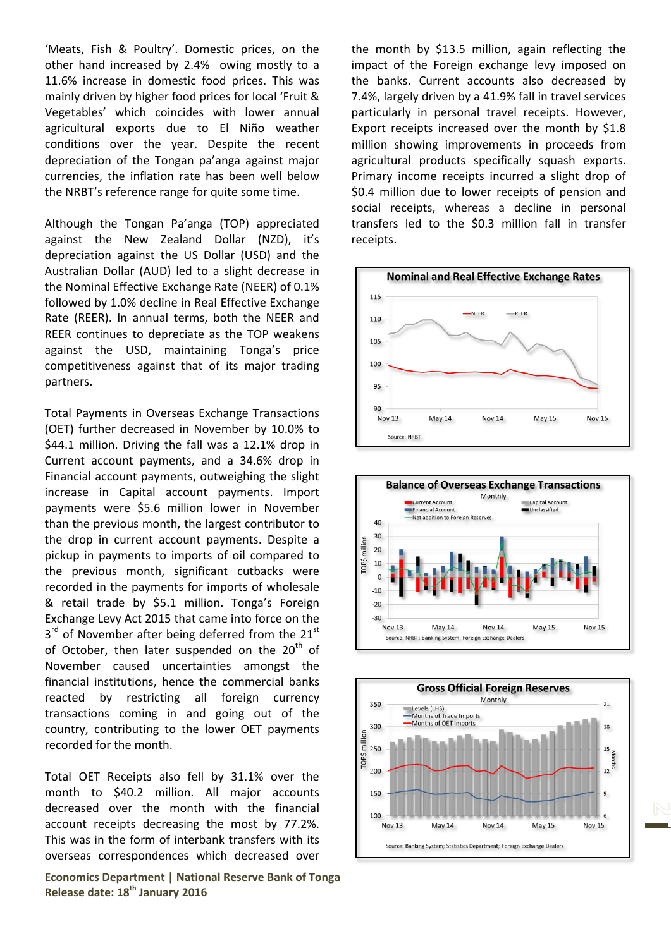'Meats, Fish & Poultry'. Domestic prices, on the other hand increased by 2.4% owing mostly to a 11.6% increase in domestic food prices. This was mainly driven by higher food prices for local 'Fruit & Vegetables' which coincides with lower annual agricultural exports due to El Niño weather conditions over the year. Despite the recent depreciation of the Tongan pa'anga against major currencies, the inflation rate has been well below the NRBT's reference range for quite some time.

Although the Tongan Pa'anga (TOP) appreciated against the New Zealand Dollar (NZD), it's depreciation against the US Dollar (USD) and the Australian Dollar (AUD) led to a slight decrease in the Nominal Effective Exchange Rate (NEER) of 0.1% followed by 1.0% decline in Real Effective Exchange Rate (REER). In annual terms, both the NEER and REER continues to depreciate as the TOP weakens against the USD, maintaining Tonga's price competitiveness against that of its major trading partners.

Total Payments in Overseas Exchange Transactions (OET) further decreased in November by 10.0% to \$44.1 million. Driving the fall was a 12.1% drop in Current account payments, and a 34.6% drop in Financial account payments, outweighing the slight increase in Capital account payments. Import payments were \$5.6 million lower in November than the previous month, the largest contributor to the drop in current account payments. Despite a pickup in payments to imports of oil compared to the previous month, significant cutbacks were recorded in the payments for imports of wholesale & retail trade by \$5.1 million. Tonga's Foreign Exchange Levy Act 2015 that came into force on the  $3<sup>rd</sup>$  of November after being deferred from the 21<sup>st</sup> of October, then later suspended on the  $20<sup>th</sup>$  of November caused uncertainties amongst the financial institutions, hence the commercial banks reacted by restricting all foreign currency transactions coming in and going out of the country, contributing to the lower OET payments recorded for the month.

Total OET Receipts also fell by 31.1% over the month to \$40.2 million. All major accounts decreased over the month with the financial account receipts decreasing the most by 77.2%. This was in the form of interbank transfers with its overseas correspondences which decreased over

**Economics Department | National Reserve Bank of Tonga Release date: 18th January 2016**

the month by \$13.5 million, again reflecting the impact of the Foreign exchange levy imposed on the banks. Current accounts also decreased by 7.4%, largely driven by a 41.9% fall in travel services particularly in personal travel receipts. However, Export receipts increased over the month by \$1.8 million showing improvements in proceeds from agricultural products specifically squash exports. Primary income receipts incurred a slight drop of \$0.4 million due to lower receipts of pension and social receipts, whereas a decline in personal transfers led to the \$0.3 million fall in transfer receipts.





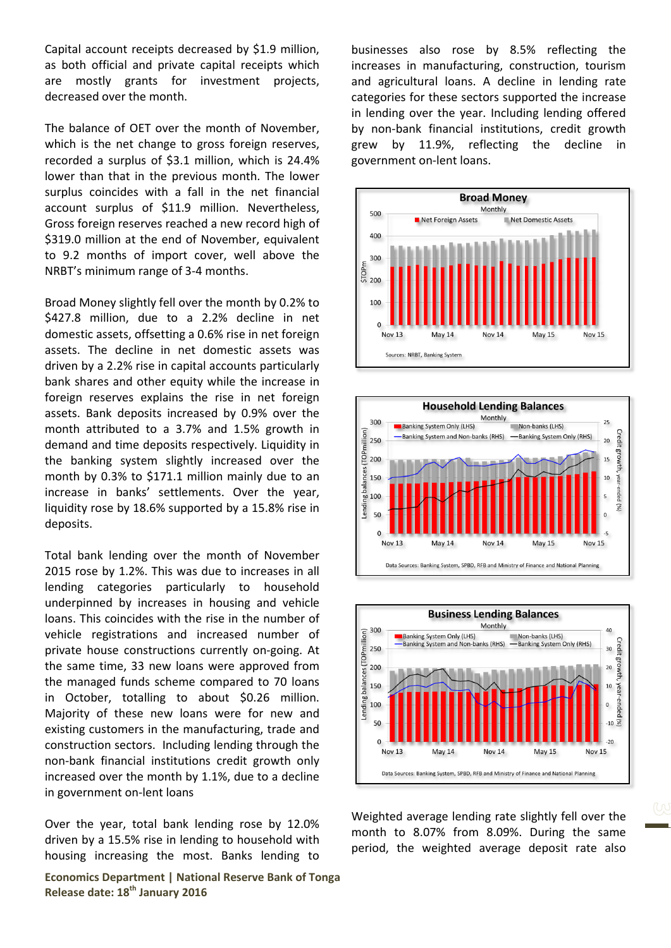Capital account receipts decreased by \$1.9 million, as both official and private capital receipts which are mostly grants for investment projects, decreased over the month.

The balance of OET over the month of November, which is the net change to gross foreign reserves, recorded a surplus of \$3.1 million, which is 24.4% lower than that in the previous month. The lower surplus coincides with a fall in the net financial account surplus of \$11.9 million. Nevertheless, Gross foreign reserves reached a new record high of \$319.0 million at the end of November, equivalent to 9.2 months of import cover, well above the NRBT's minimum range of 3-4 months.

Broad Money slightly fell over the month by 0.2% to \$427.8 million, due to a 2.2% decline in net domestic assets, offsetting a 0.6% rise in net foreign assets. The decline in net domestic assets was driven by a 2.2% rise in capital accounts particularly bank shares and other equity while the increase in foreign reserves explains the rise in net foreign assets. Bank deposits increased by 0.9% over the month attributed to a 3.7% and 1.5% growth in demand and time deposits respectively. Liquidity in the banking system slightly increased over the month by 0.3% to \$171.1 million mainly due to an increase in banks' settlements. Over the year, liquidity rose by 18.6% supported by a 15.8% rise in deposits.

Total bank lending over the month of November 2015 rose by 1.2%. This was due to increases in all lending categories particularly to household underpinned by increases in housing and vehicle loans. This coincides with the rise in the number of vehicle registrations and increased number of private house constructions currently on-going. At the same time, 33 new loans were approved from the managed funds scheme compared to 70 loans in October, totalling to about \$0.26 million. Majority of these new loans were for new and existing customers in the manufacturing, trade and construction sectors. Including lending through the non-bank financial institutions credit growth only increased over the month by 1.1%, due to a decline in government on-lent loans

Over the year, total bank lending rose by 12.0% driven by a 15.5% rise in lending to household with housing increasing the most. Banks lending to

**Economics Department | National Reserve Bank of Tonga Release date: 18th January 2016**

businesses also rose by 8.5% reflecting the increases in manufacturing, construction, tourism and agricultural loans. A decline in lending rate categories for these sectors supported the increase in lending over the year. Including lending offered by non-bank financial institutions, credit growth grew by 11.9%, reflecting the decline in government on-lent loans.







Weighted average lending rate slightly fell over the month to 8.07% from 8.09%. During the same period, the weighted average deposit rate also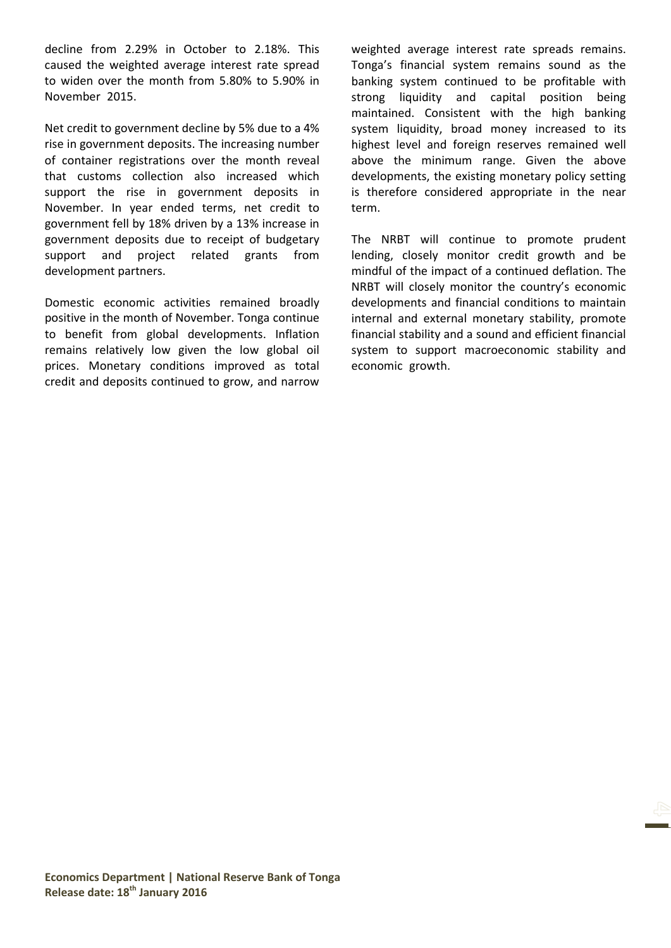decline from 2.29% in October to 2.18%. This caused the weighted average interest rate spread to widen over the month from 5.80% to 5.90% in November 2015.

Net credit to government decline by 5% due to a 4% rise in government deposits. The increasing number of container registrations over the month reveal that customs collection also increased which support the rise in government deposits in November. In year ended terms, net credit to government fell by 18% driven by a 13% increase in government deposits due to receipt of budgetary support and project related grants from development partners.

Domestic economic activities remained broadly positive in the month of November. Tonga continue to benefit from global developments. Inflation remains relatively low given the low global oil prices. Monetary conditions improved as total credit and deposits continued to grow, and narrow

weighted average interest rate spreads remains. Tonga's financial system remains sound as the banking system continued to be profitable with strong liquidity and capital position being maintained. Consistent with the high banking system liquidity, broad money increased to its highest level and foreign reserves remained well above the minimum range. Given the above developments, the existing monetary policy setting is therefore considered appropriate in the near term.

The NRBT will continue to promote prudent lending, closely monitor credit growth and be mindful of the impact of a continued deflation. The NRBT will closely monitor the country's economic developments and financial conditions to maintain internal and external monetary stability, promote financial stability and a sound and efficient financial system to support macroeconomic stability and economic growth.